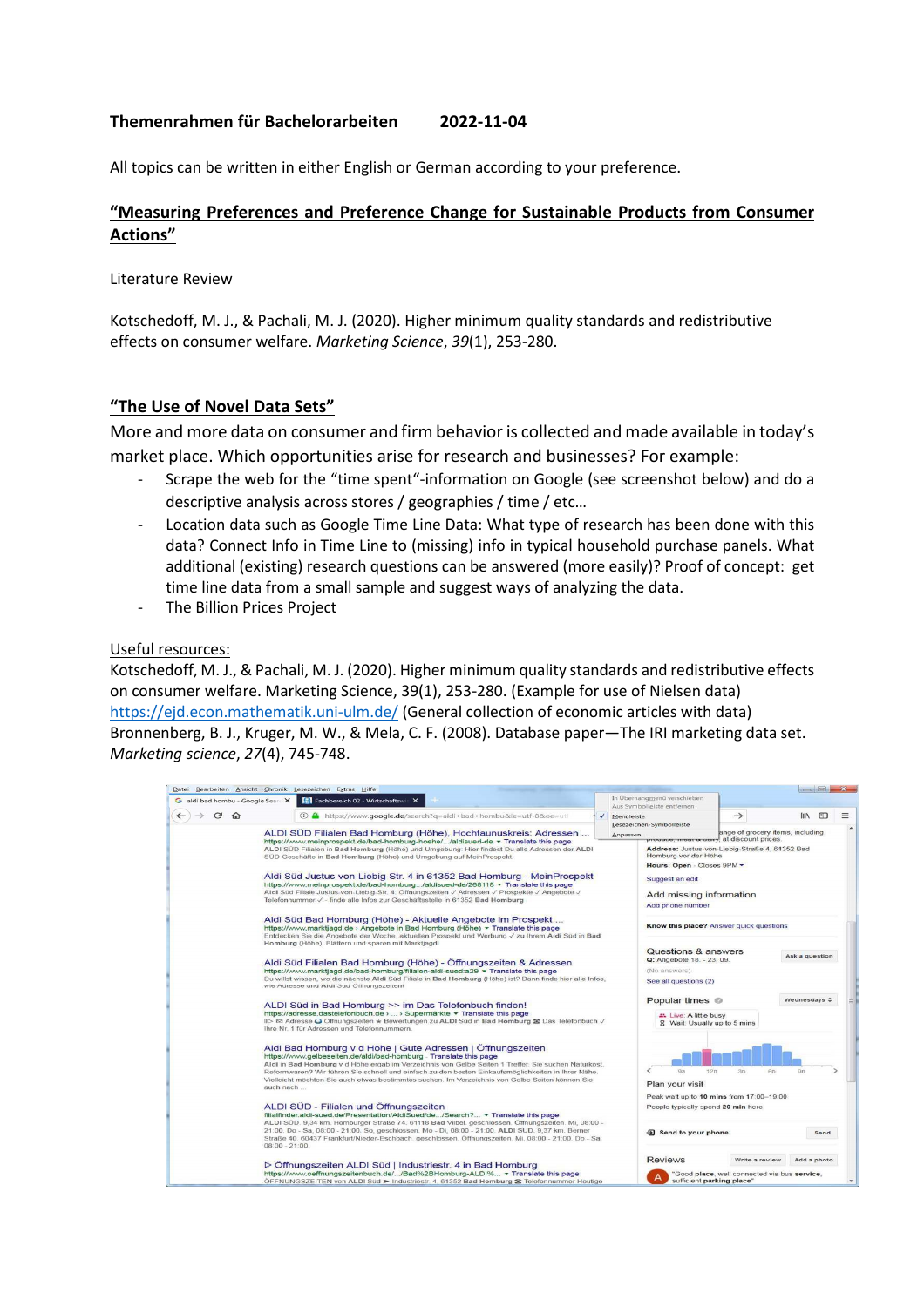### **Themenrahmen für Bachelorarbeiten 2022-11-04**

All topics can be written in either English or German according to your preference.

# **"Measuring Preferences and Preference Change for Sustainable Products from Consumer Actions"**

Literature Review

Kotschedoff, M. J., & Pachali, M. J. (2020). Higher minimum quality standards and redistributive effects on consumer welfare. *Marketing Science*, *39*(1), 253-280.

### **"The Use of Novel Data Sets"**

More and more data on consumer and firm behavior is collected and made available in today's market place. Which opportunities arise for research and businesses? For example:

- Scrape the web for the "time spent"-information on Google (see screenshot below) and do a descriptive analysis across stores / geographies / time / etc…
- Location data such as Google Time Line Data: What type of research has been done with this data? Connect Info in Time Line to (missing) info in typical household purchase panels. What additional (existing) research questions can be answered (more easily)? Proof of concept: get time line data from a small sample and suggest ways of analyzing the data.
- The Billion Prices Project

### Useful resources:

Kotschedoff, M. J., & Pachali, M. J. (2020). Higher minimum quality standards and redistributive effects on consumer welfare. Marketing Science, 39(1), 253-280. (Example for use of Nielsen data) https://ejd.econ.mathematik.uni-ulm.de/ (General collection of economic articles with data) Bronnenberg, B. J., Kruger, M. W., & Mela, C. F. (2008). Database paper—The IRI marketing data set. *Marketing science*, *27*(4), 745-748.

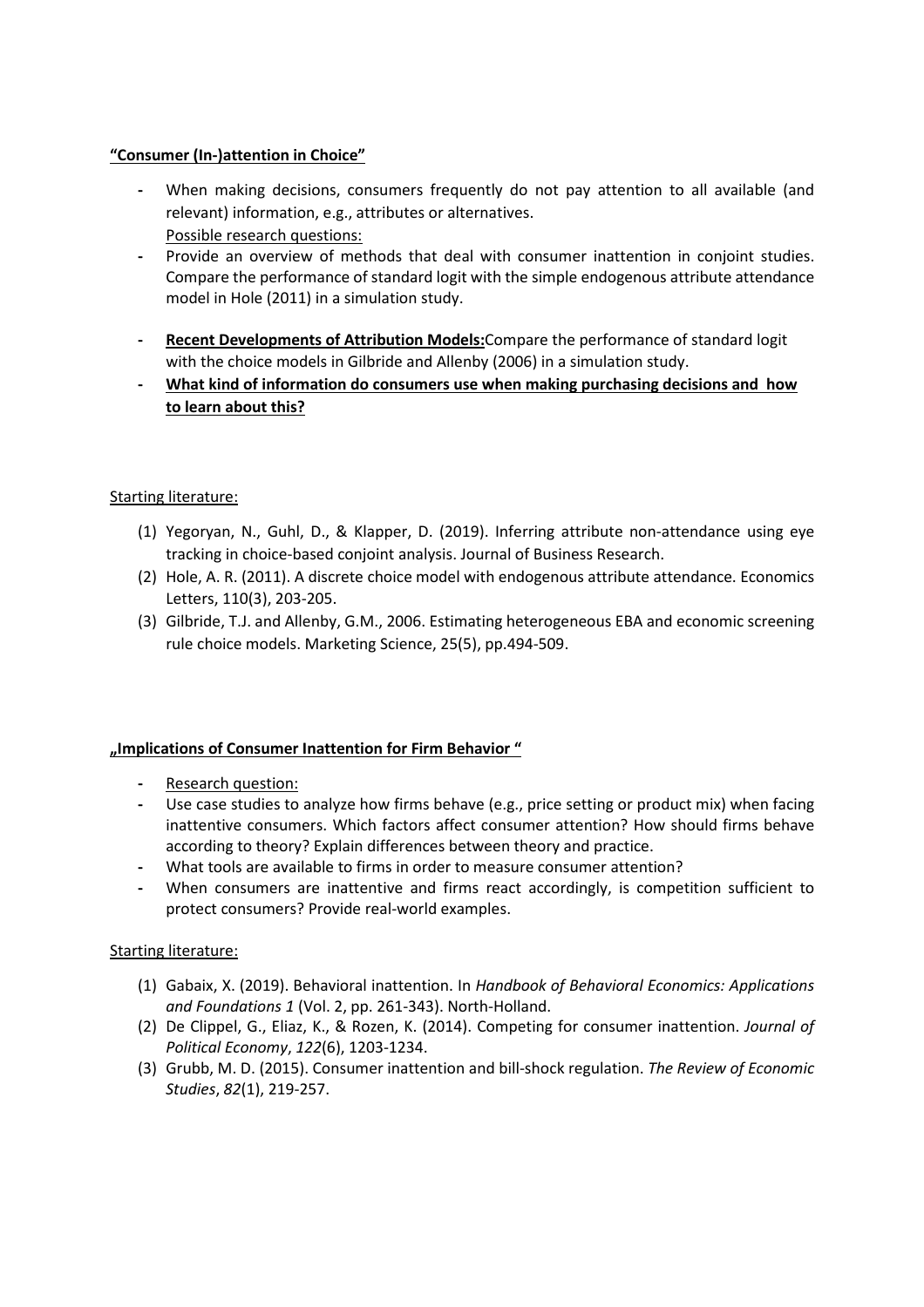## **"Consumer (In-)attention in Choice"**

- **-** When making decisions, consumers frequently do not pay attention to all available (and relevant) information, e.g., attributes or alternatives. Possible research questions:
- **-** Provide an overview of methods that deal with consumer inattention in conjoint studies. Compare the performance of standard logit with the simple endogenous attribute attendance model in Hole (2011) in a simulation study.
- **- Recent Developments of Attribution Models:**Compare the performance of standard logit with the choice models in Gilbride and Allenby (2006) in a simulation study.
- **- What kind of information do consumers use when making purchasing decisions and how to learn about this?**

# Starting literature:

- (1) Yegoryan, N., Guhl, D., & Klapper, D. (2019). Inferring attribute non-attendance using eye tracking in choice-based conjoint analysis. Journal of Business Research.
- (2) Hole, A. R. (2011). A discrete choice model with endogenous attribute attendance. Economics Letters, 110(3), 203-205.
- (3) Gilbride, T.J. and Allenby, G.M., 2006. Estimating heterogeneous EBA and economic screening rule choice models. Marketing Science, 25(5), pp.494-509.

### **"Implications of Consumer Inattention for Firm Behavior "**

- **-** Research question:
- **-** Use case studies to analyze how firms behave (e.g., price setting or product mix) when facing inattentive consumers. Which factors affect consumer attention? How should firms behave according to theory? Explain differences between theory and practice.
- **-** What tools are available to firms in order to measure consumer attention?
- **-** When consumers are inattentive and firms react accordingly, is competition sufficient to protect consumers? Provide real-world examples.

### Starting literature:

- (1) Gabaix, X. (2019). Behavioral inattention. In *Handbook of Behavioral Economics: Applications and Foundations 1* (Vol. 2, pp. 261-343). North-Holland.
- (2) De Clippel, G., Eliaz, K., & Rozen, K. (2014). Competing for consumer inattention. *Journal of Political Economy*, *122*(6), 1203-1234.
- (3) Grubb, M. D. (2015). Consumer inattention and bill-shock regulation. *The Review of Economic Studies*, *82*(1), 219-257.